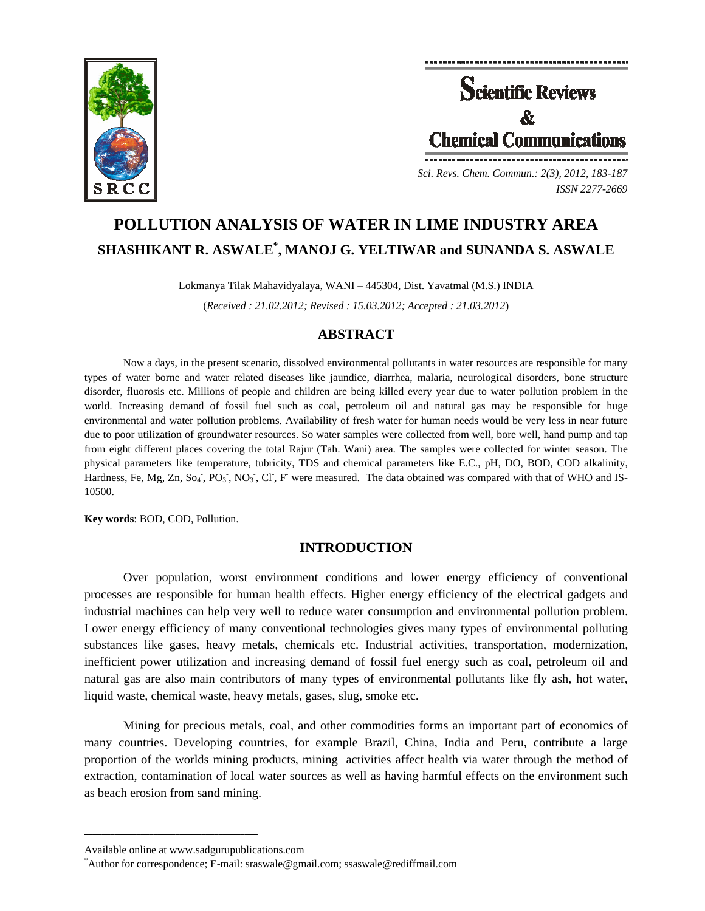

**Scientific Reviews Chemical Communications** *Sci. Revs. Chem. Commun.: 2(3), 2012, 183-187* 

*ISSN 2277-2669* 

# **POLLUTION ANALYSIS OF WATER IN LIME INDUSTRY AREA SHASHIKANT R. ASWALE\* , MANOJ G. YELTIWAR and SUNANDA S. ASWALE**

Lokmanya Tilak Mahavidyalaya, WANI – 445304, Dist. Yavatmal (M.S.) INDIA

(*Received : 21.02.2012; Revised : 15.03.2012; Accepted : 21.03.2012*)

# **ABSTRACT**

Now a days, in the present scenario, dissolved environmental pollutants in water resources are responsible for many types of water borne and water related diseases like jaundice, diarrhea, malaria, neurological disorders, bone structure disorder, fluorosis etc. Millions of people and children are being killed every year due to water pollution problem in the world. Increasing demand of fossil fuel such as coal, petroleum oil and natural gas may be responsible for huge environmental and water pollution problems. Availability of fresh water for human needs would be very less in near future due to poor utilization of groundwater resources. So water samples were collected from well, bore well, hand pump and tap from eight different places covering the total Rajur (Tah. Wani) area. The samples were collected for winter season. The physical parameters like temperature, tubricity, TDS and chemical parameters like E.C., pH, DO, BOD, COD alkalinity, Hardness, Fe, Mg, Zn, So<sub>4</sub>, PO<sub>3</sub>, NO<sub>3</sub>, Cl, F were measured. The data obtained was compared with that of WHO and IS-10500.

**Key words**: BOD, COD, Pollution.

# **INTRODUCTION**

Over population, worst environment conditions and lower energy efficiency of conventional processes are responsible for human health effects. Higher energy efficiency of the electrical gadgets and industrial machines can help very well to reduce water consumption and environmental pollution problem. Lower energy efficiency of many conventional technologies gives many types of environmental polluting substances like gases, heavy metals, chemicals etc. Industrial activities, transportation, modernization, inefficient power utilization and increasing demand of fossil fuel energy such as coal, petroleum oil and natural gas are also main contributors of many types of environmental pollutants like fly ash, hot water, liquid waste, chemical waste, heavy metals, gases, slug, smoke etc.

Mining for precious metals, coal, and other commodities forms an important part of economics of many countries. Developing countries, for example Brazil, China, India and Peru, contribute a large proportion of the worlds mining products, mining activities affect health via water through the method of extraction, contamination of local water sources as well as having harmful effects on the environment such as beach erosion from sand mining.

**\_\_\_\_\_\_\_\_\_\_\_\_\_\_\_\_\_\_\_\_\_\_\_\_\_\_\_\_\_\_\_\_\_\_\_\_\_\_\_\_**

Available online at www.sadgurupublications.com \*

Author for correspondence; E-mail: sraswale@gmail.com; ssaswale@rediffmail.com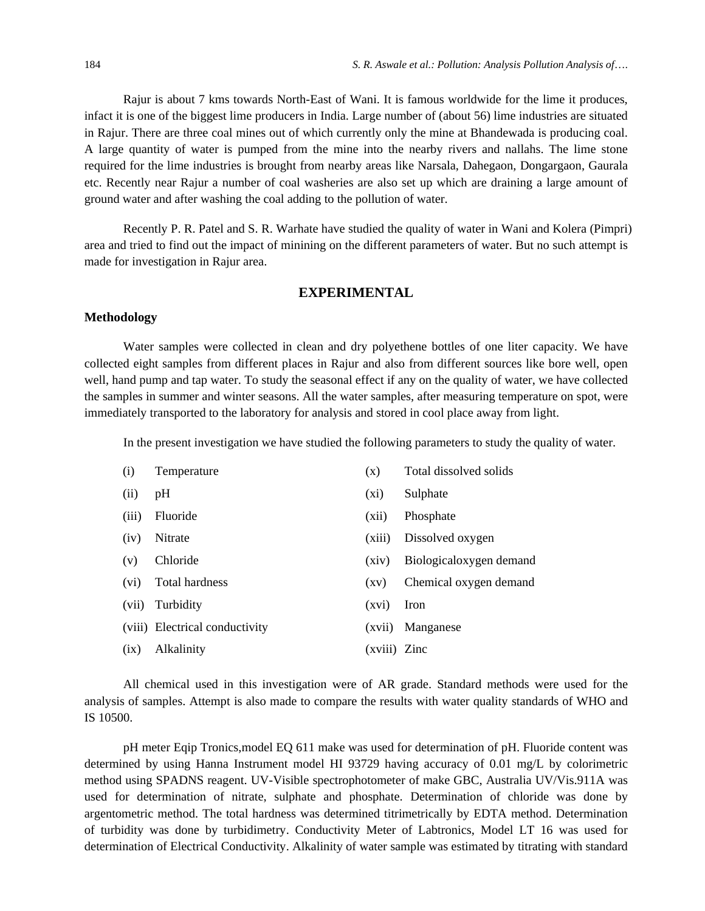Rajur is about 7 kms towards North-East of Wani. It is famous worldwide for the lime it produces, infact it is one of the biggest lime producers in India. Large number of (about 56) lime industries are situated in Rajur. There are three coal mines out of which currently only the mine at Bhandewada is producing coal. A large quantity of water is pumped from the mine into the nearby rivers and nallahs. The lime stone required for the lime industries is brought from nearby areas like Narsala, Dahegaon, Dongargaon, Gaurala etc. Recently near Rajur a number of coal washeries are also set up which are draining a large amount of ground water and after washing the coal adding to the pollution of water.

Recently P. R. Patel and S. R. Warhate have studied the quality of water in Wani and Kolera (Pimpri) area and tried to find out the impact of minining on the different parameters of water. But no such attempt is made for investigation in Rajur area.

## **EXPERIMENTAL**

## **Methodology**

Water samples were collected in clean and dry polyethene bottles of one liter capacity. We have collected eight samples from different places in Rajur and also from different sources like bore well, open well, hand pump and tap water. To study the seasonal effect if any on the quality of water, we have collected the samples in summer and winter seasons. All the water samples, after measuring temperature on spot, were immediately transported to the laboratory for analysis and stored in cool place away from light.

In the present investigation we have studied the following parameters to study the quality of water.

| (i)   | Temperature                    | (x)          | Total dissolved solids  |
|-------|--------------------------------|--------------|-------------------------|
| (ii)  | pH                             | $(x_i)$      | Sulphate                |
| (iii) | Fluoride                       | (xii)        | Phosphate               |
| (iv)  | Nitrate                        | (xiii)       | Dissolved oxygen        |
| (v)   | Chloride                       | (xiv)        | Biologicaloxygen demand |
| (vi)  | Total hardness                 | (xy)         | Chemical oxygen demand  |
| (vii) | Turbidity                      | (xvi)        | Iron                    |
|       | (viii) Electrical conductivity | (xvii)       | Manganese               |
| (ix)  | <b>Alkalinity</b>              | (xviii) Zinc |                         |

All chemical used in this investigation were of AR grade. Standard methods were used for the analysis of samples. Attempt is also made to compare the results with water quality standards of WHO and IS 10500.

pH meter Eqip Tronics,model EQ 611 make was used for determination of pH. Fluoride content was determined by using Hanna Instrument model HI 93729 having accuracy of 0.01 mg/L by colorimetric method using SPADNS reagent. UV-Visible spectrophotometer of make GBC, Australia UV/Vis.911A was used for determination of nitrate, sulphate and phosphate. Determination of chloride was done by argentometric method. The total hardness was determined titrimetrically by EDTA method. Determination of turbidity was done by turbidimetry. Conductivity Meter of Labtronics, Model LT 16 was used for determination of Electrical Conductivity. Alkalinity of water sample was estimated by titrating with standard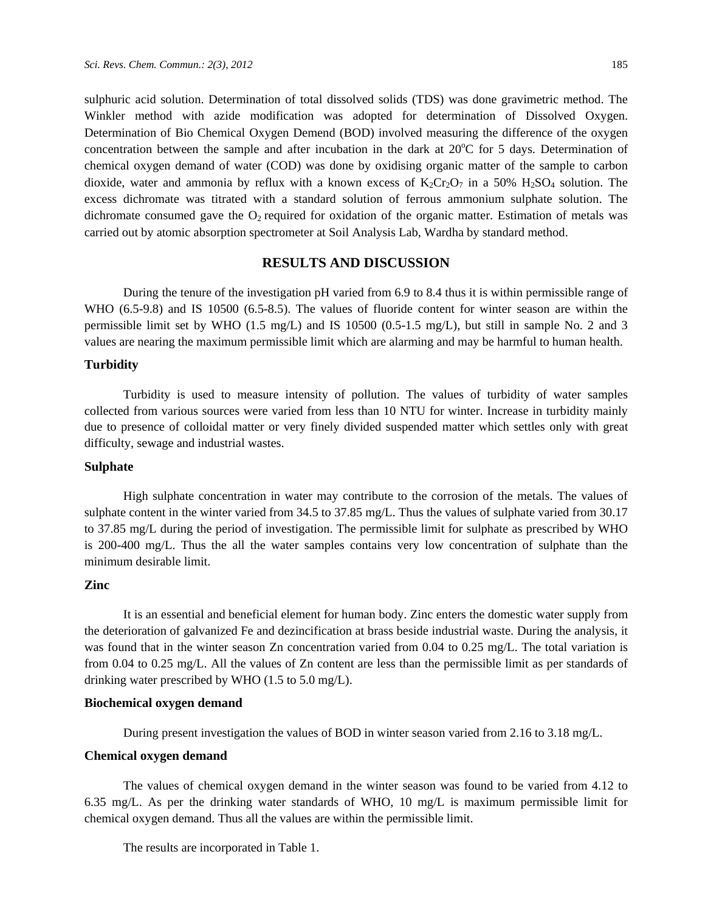sulphuric acid solution. Determination of total dissolved solids (TDS) was done gravimetric method. The Winkler method with azide modification was adopted for determination of Dissolved Oxygen. Determination of Bio Chemical Oxygen Demend (BOD) involved measuring the difference of the oxygen concentration between the sample and after incubation in the dark at  $20^{\circ}$ C for 5 days. Determination of chemical oxygen demand of water (COD) was done by oxidising organic matter of the sample to carbon dioxide, water and ammonia by reflux with a known excess of  $K_2Cr_2O_7$  in a 50% H<sub>2</sub>SO<sub>4</sub> solution. The excess dichromate was titrated with a standard solution of ferrous ammonium sulphate solution. The dichromate consumed gave the  $O_2$  required for oxidation of the organic matter. Estimation of metals was carried out by atomic absorption spectrometer at Soil Analysis Lab, Wardha by standard method.

## **RESULTS AND DISCUSSION**

During the tenure of the investigation pH varied from 6.9 to 8.4 thus it is within permissible range of WHO (6.5-9.8) and IS 10500 (6.5-8.5). The values of fluoride content for winter season are within the permissible limit set by WHO (1.5 mg/L) and IS 10500 (0.5-1.5 mg/L), but still in sample No. 2 and 3 values are nearing the maximum permissible limit which are alarming and may be harmful to human health.

#### **Turbidity**

Turbidity is used to measure intensity of pollution. The values of turbidity of water samples collected from various sources were varied from less than 10 NTU for winter. Increase in turbidity mainly due to presence of colloidal matter or very finely divided suspended matter which settles only with great difficulty, sewage and industrial wastes.

#### **Sulphate**

High sulphate concentration in water may contribute to the corrosion of the metals. The values of sulphate content in the winter varied from 34.5 to 37.85 mg/L. Thus the values of sulphate varied from 30.17 to 37.85 mg/L during the period of investigation. The permissible limit for sulphate as prescribed by WHO is 200-400 mg/L. Thus the all the water samples contains very low concentration of sulphate than the minimum desirable limit.

#### **Zinc**

It is an essential and beneficial element for human body. Zinc enters the domestic water supply from the deterioration of galvanized Fe and dezincification at brass beside industrial waste. During the analysis, it was found that in the winter season Zn concentration varied from 0.04 to 0.25 mg/L. The total variation is from 0.04 to 0.25 mg/L. All the values of Zn content are less than the permissible limit as per standards of drinking water prescribed by WHO (1.5 to 5.0 mg/L).

#### **Biochemical oxygen demand**

During present investigation the values of BOD in winter season varied from 2.16 to 3.18 mg/L.

#### **Chemical oxygen demand**

The values of chemical oxygen demand in the winter season was found to be varied from 4.12 to 6.35 mg/L. As per the drinking water standards of WHO, 10 mg/L is maximum permissible limit for chemical oxygen demand. Thus all the values are within the permissible limit.

The results are incorporated in Table 1.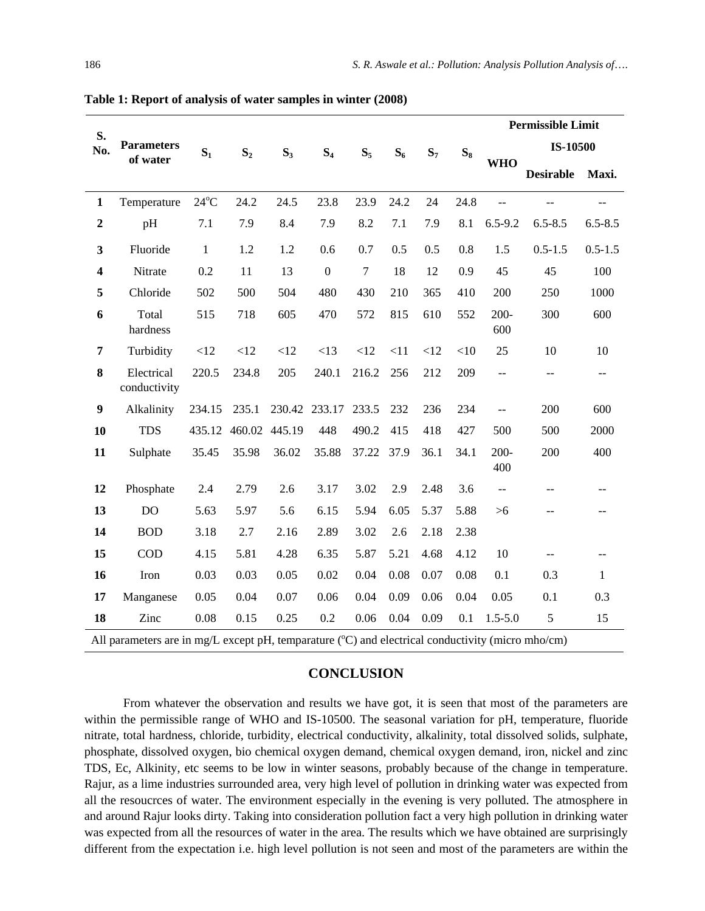|                                                                                                   |                               | $\mathbf{S}_1$ | $S_2$  | $S_3$  | S <sub>4</sub>   | $S_5$  | $S_6$ | $S_7$ |       | <b>Permissible Limit</b> |                  |              |
|---------------------------------------------------------------------------------------------------|-------------------------------|----------------|--------|--------|------------------|--------|-------|-------|-------|--------------------------|------------------|--------------|
| S.<br>No.                                                                                         | <b>Parameters</b><br>of water |                |        |        |                  |        |       |       | $S_8$ |                          | IS-10500         |              |
|                                                                                                   |                               |                |        |        |                  |        |       |       |       | <b>WHO</b>               | <b>Desirable</b> | Maxi.        |
| $\mathbf{1}$                                                                                      | Temperature                   | $24^{\circ}$ C | 24.2   | 24.5   | 23.8             | 23.9   | 24.2  | 24    | 24.8  | $\overline{a}$           | $-$              | $-$          |
| $\mathbf 2$                                                                                       | pH                            | 7.1            | 7.9    | 8.4    | 7.9              | 8.2    | 7.1   | 7.9   | 8.1   | $6.5 - 9.2$              | $6.5 - 8.5$      | $6.5 - 8.5$  |
| $\mathbf{3}$                                                                                      | Fluoride                      | $\mathbf{1}$   | 1.2    | 1.2    | 0.6              | 0.7    | 0.5   | 0.5   | 0.8   | 1.5                      | $0.5 - 1.5$      | $0.5 - 1.5$  |
| $\overline{\mathbf{4}}$                                                                           | Nitrate                       | 0.2            | 11     | 13     | $\boldsymbol{0}$ | $\tau$ | 18    | 12    | 0.9   | 45                       | 45               | 100          |
| 5                                                                                                 | Chloride                      | 502            | 500    | 504    | 480              | 430    | 210   | 365   | 410   | 200                      | 250              | 1000         |
| 6                                                                                                 | Total<br>hardness             | 515            | 718    | 605    | 470              | 572    | 815   | 610   | 552   | 200-<br>600              | 300              | 600          |
| $\overline{7}$                                                                                    | Turbidity                     | <12            | <12    | <12    | <13              | <12    | <11   | <12   | <10   | 25                       | 10               | 10           |
| 8                                                                                                 | Electrical<br>conductivity    | 220.5          | 234.8  | 205    | 240.1            | 216.2  | 256   | 212   | 209   | $-$                      | $-$              | $-$          |
| $\boldsymbol{9}$                                                                                  | Alkalinity                    | 234.15         | 235.1  |        | 230.42 233.17    | 233.5  | 232   | 236   | 234   | ÷÷                       | 200              | 600          |
| 10                                                                                                | <b>TDS</b>                    | 435.12         | 460.02 | 445.19 | 448              | 490.2  | 415   | 418   | 427   | 500                      | 500              | 2000         |
| 11                                                                                                | Sulphate                      | 35.45          | 35.98  | 36.02  | 35.88            | 37.22  | 37.9  | 36.1  | 34.1  | $200 -$<br>400           | 200              | 400          |
| 12                                                                                                | Phosphate                     | 2.4            | 2.79   | 2.6    | 3.17             | 3.02   | 2.9   | 2.48  | 3.6   | $\overline{\phantom{a}}$ |                  |              |
| 13                                                                                                | <b>DO</b>                     | 5.63           | 5.97   | 5.6    | 6.15             | 5.94   | 6.05  | 5.37  | 5.88  | $>6$                     |                  |              |
| 14                                                                                                | <b>BOD</b>                    | 3.18           | 2.7    | 2.16   | 2.89             | 3.02   | 2.6   | 2.18  | 2.38  |                          |                  |              |
| 15                                                                                                | <b>COD</b>                    | 4.15           | 5.81   | 4.28   | 6.35             | 5.87   | 5.21  | 4.68  | 4.12  | 10                       |                  |              |
| 16                                                                                                | Iron                          | 0.03           | 0.03   | 0.05   | 0.02             | 0.04   | 0.08  | 0.07  | 0.08  | 0.1                      | 0.3              | $\mathbf{1}$ |
| 17                                                                                                | Manganese                     | 0.05           | 0.04   | 0.07   | 0.06             | 0.04   | 0.09  | 0.06  | 0.04  | 0.05                     | 0.1              | 0.3          |
| 18                                                                                                | Zinc                          | 0.08           | 0.15   | 0.25   | 0.2              | 0.06   | 0.04  | 0.09  | 0.1   | $1.5 - 5.0$              | 5                | 15           |
| All parameters are in mg/L except pH, temparature (°C) and electrical conductivity (micro mho/cm) |                               |                |        |        |                  |        |       |       |       |                          |                  |              |

**Table 1: Report of analysis of water samples in winter (2008)**

#### **CONCLUSION**

From whatever the observation and results we have got, it is seen that most of the parameters are within the permissible range of WHO and IS-10500. The seasonal variation for pH, temperature, fluoride nitrate, total hardness, chloride, turbidity, electrical conductivity, alkalinity, total dissolved solids, sulphate, phosphate, dissolved oxygen, bio chemical oxygen demand, chemical oxygen demand, iron, nickel and zinc TDS, Ec, Alkinity, etc seems to be low in winter seasons, probably because of the change in temperature. Rajur, as a lime industries surrounded area, very high level of pollution in drinking water was expected from all the resoucrces of water. The environment especially in the evening is very polluted. The atmosphere in and around Rajur looks dirty. Taking into consideration pollution fact a very high pollution in drinking water was expected from all the resources of water in the area. The results which we have obtained are surprisingly different from the expectation i.e. high level pollution is not seen and most of the parameters are within the